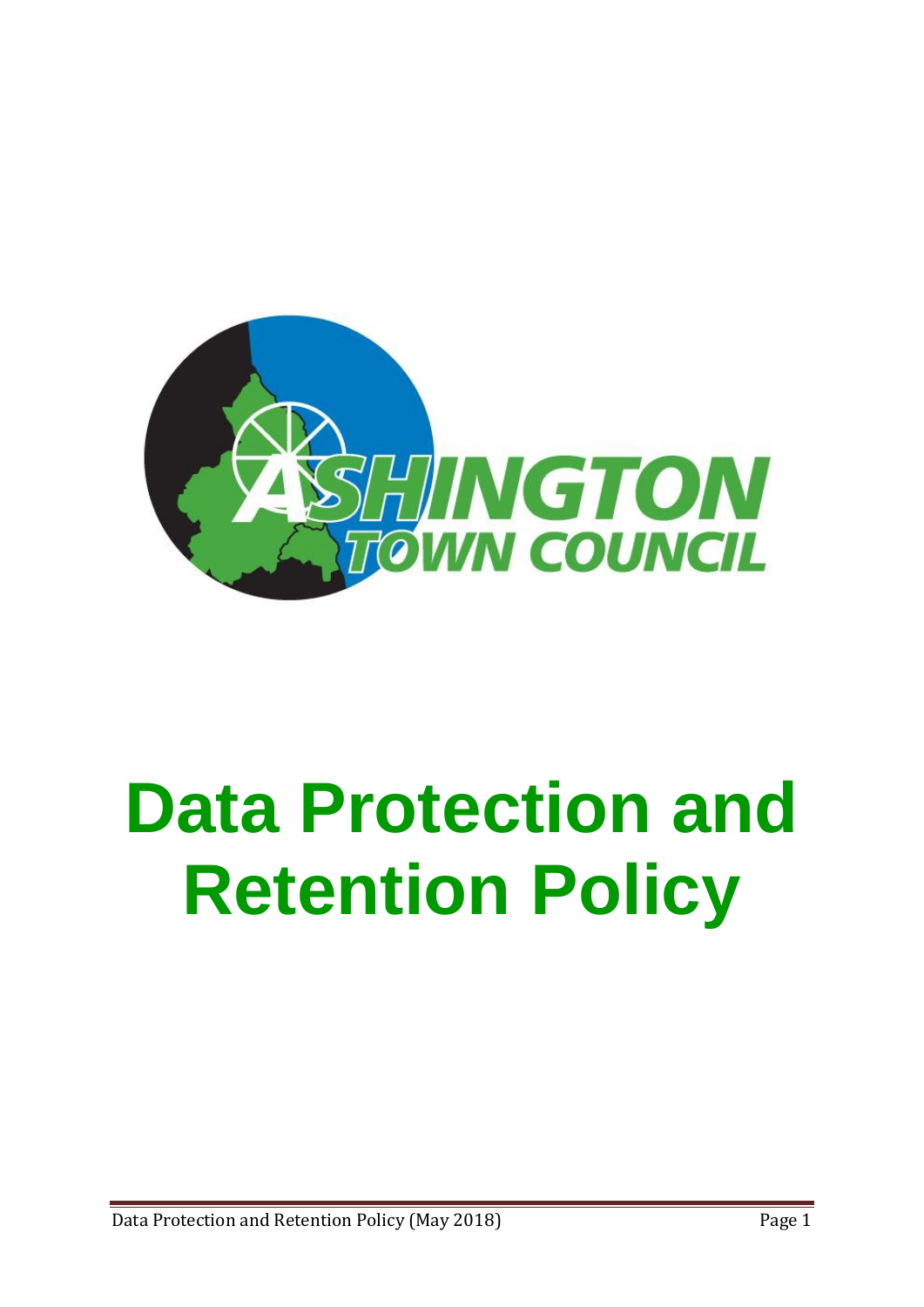

# **Data Protection and Retention Policy**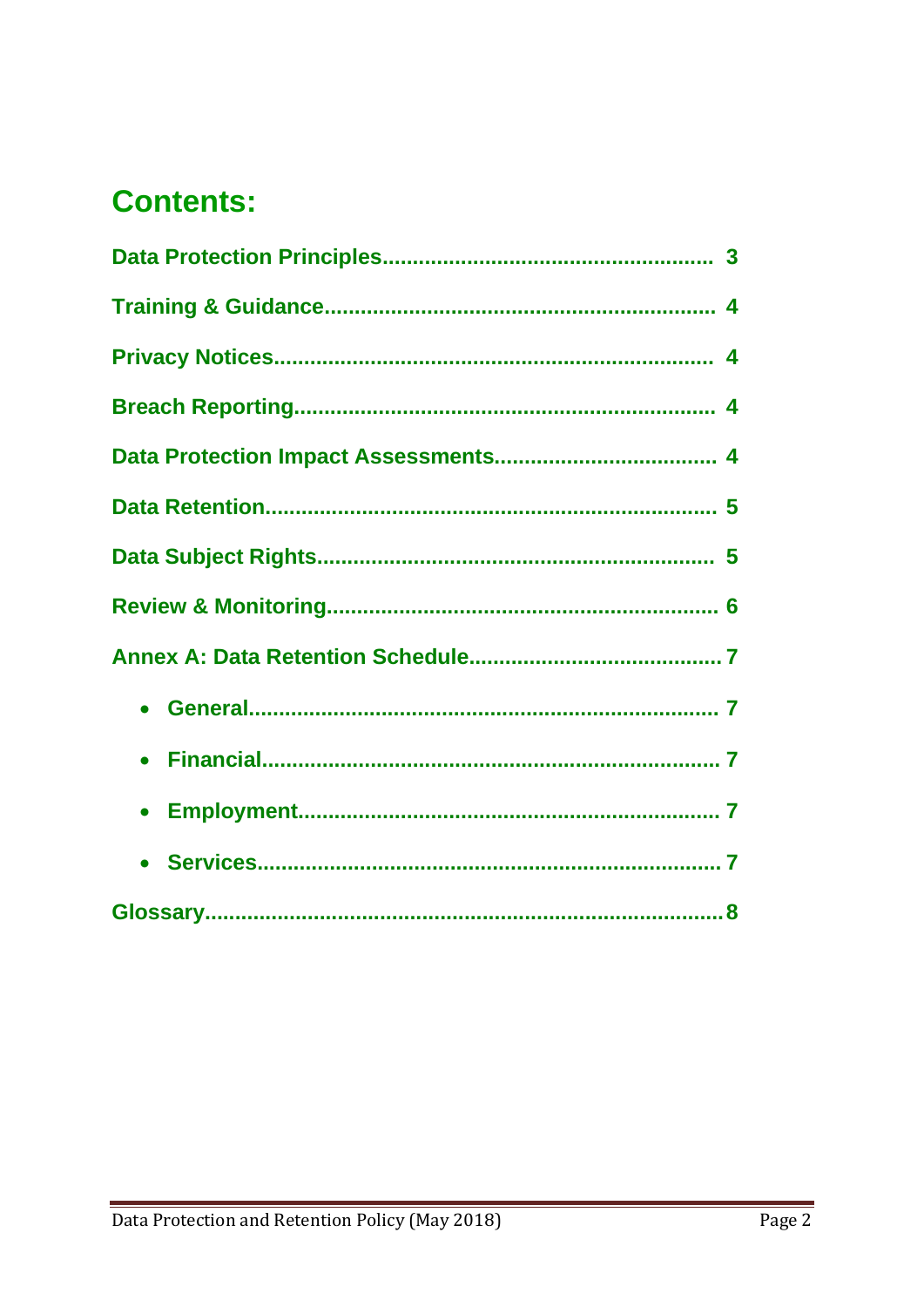# **Contents:**

| $\bullet$ |  |
|-----------|--|
|           |  |
|           |  |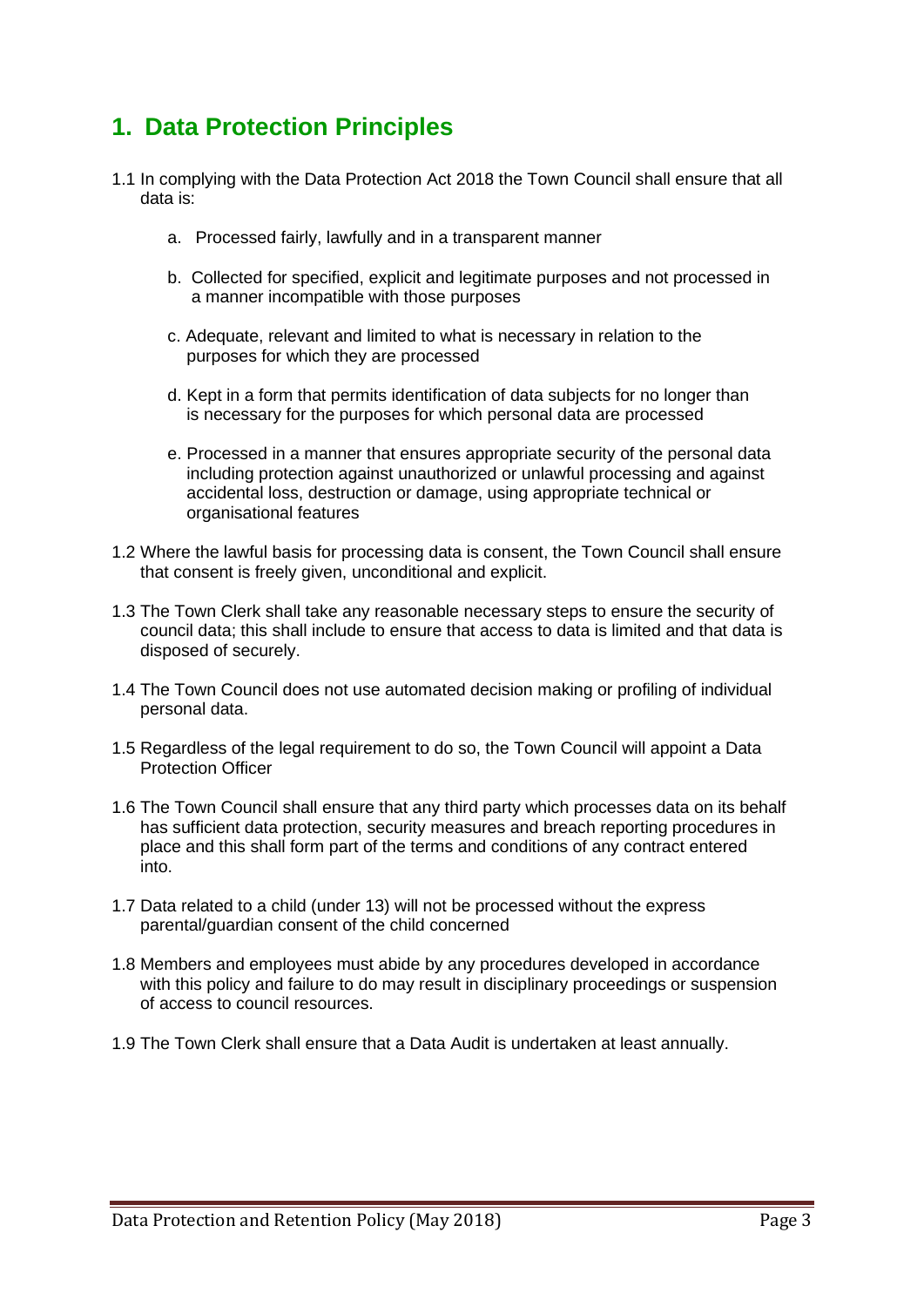#### **1. Data Protection Principles**

- 1.1 In complying with the Data Protection Act 2018 the Town Council shall ensure that all data is:
	- a. Processed fairly, lawfully and in a transparent manner
	- b. Collected for specified, explicit and legitimate purposes and not processed in a manner incompatible with those purposes
	- c. Adequate, relevant and limited to what is necessary in relation to the purposes for which they are processed
	- d. Kept in a form that permits identification of data subjects for no longer than is necessary for the purposes for which personal data are processed
	- e. Processed in a manner that ensures appropriate security of the personal data including protection against unauthorized or unlawful processing and against accidental loss, destruction or damage, using appropriate technical or organisational features
- 1.2 Where the lawful basis for processing data is consent, the Town Council shall ensure that consent is freely given, unconditional and explicit.
- 1.3 The Town Clerk shall take any reasonable necessary steps to ensure the security of council data; this shall include to ensure that access to data is limited and that data is disposed of securely.
- 1.4 The Town Council does not use automated decision making or profiling of individual personal data.
- 1.5 Regardless of the legal requirement to do so, the Town Council will appoint a Data Protection Officer
- 1.6 The Town Council shall ensure that any third party which processes data on its behalf has sufficient data protection, security measures and breach reporting procedures in place and this shall form part of the terms and conditions of any contract entered into.
- 1.7 Data related to a child (under 13) will not be processed without the express parental/guardian consent of the child concerned
- 1.8 Members and employees must abide by any procedures developed in accordance with this policy and failure to do may result in disciplinary proceedings or suspension of access to council resources.
- 1.9 The Town Clerk shall ensure that a Data Audit is undertaken at least annually.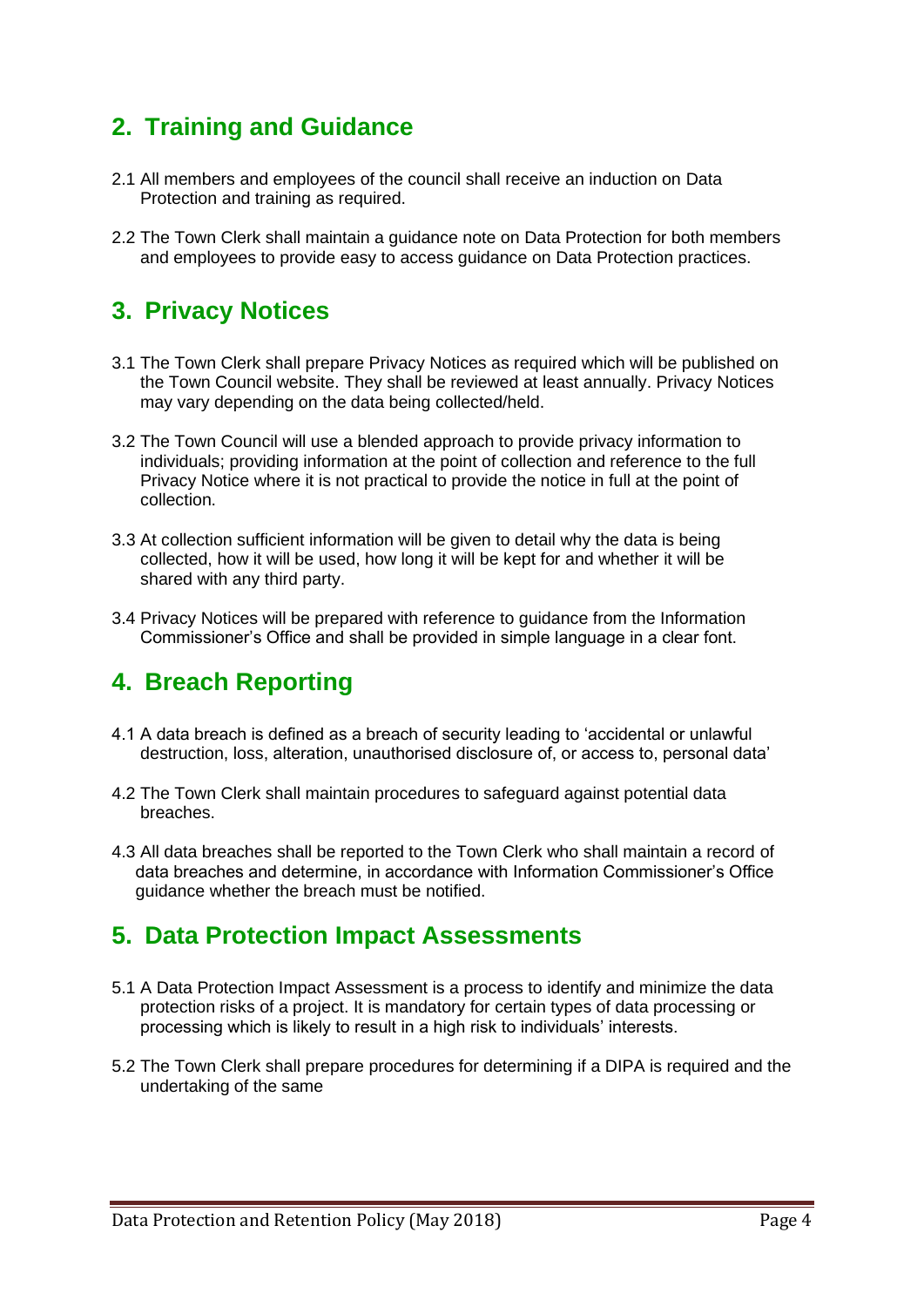### **2. Training and Guidance**

- 2.1 All members and employees of the council shall receive an induction on Data Protection and training as required.
- 2.2 The Town Clerk shall maintain a guidance note on Data Protection for both members and employees to provide easy to access guidance on Data Protection practices.

#### **3. Privacy Notices**

- 3.1 The Town Clerk shall prepare Privacy Notices as required which will be published on the Town Council website. They shall be reviewed at least annually. Privacy Notices may vary depending on the data being collected/held.
- 3.2 The Town Council will use a blended approach to provide privacy information to individuals; providing information at the point of collection and reference to the full Privacy Notice where it is not practical to provide the notice in full at the point of collection.
- 3.3 At collection sufficient information will be given to detail why the data is being collected, how it will be used, how long it will be kept for and whether it will be shared with any third party.
- 3.4 Privacy Notices will be prepared with reference to guidance from the Information Commissioner's Office and shall be provided in simple language in a clear font.

#### **4. Breach Reporting**

- 4.1 A data breach is defined as a breach of security leading to 'accidental or unlawful destruction, loss, alteration, unauthorised disclosure of, or access to, personal data'
- 4.2 The Town Clerk shall maintain procedures to safeguard against potential data breaches.
- 4.3 All data breaches shall be reported to the Town Clerk who shall maintain a record of data breaches and determine, in accordance with Information Commissioner's Office guidance whether the breach must be notified.

#### **5. Data Protection Impact Assessments**

- 5.1 A Data Protection Impact Assessment is a process to identify and minimize the data protection risks of a project. It is mandatory for certain types of data processing or processing which is likely to result in a high risk to individuals' interests.
- 5.2 The Town Clerk shall prepare procedures for determining if a DIPA is required and the undertaking of the same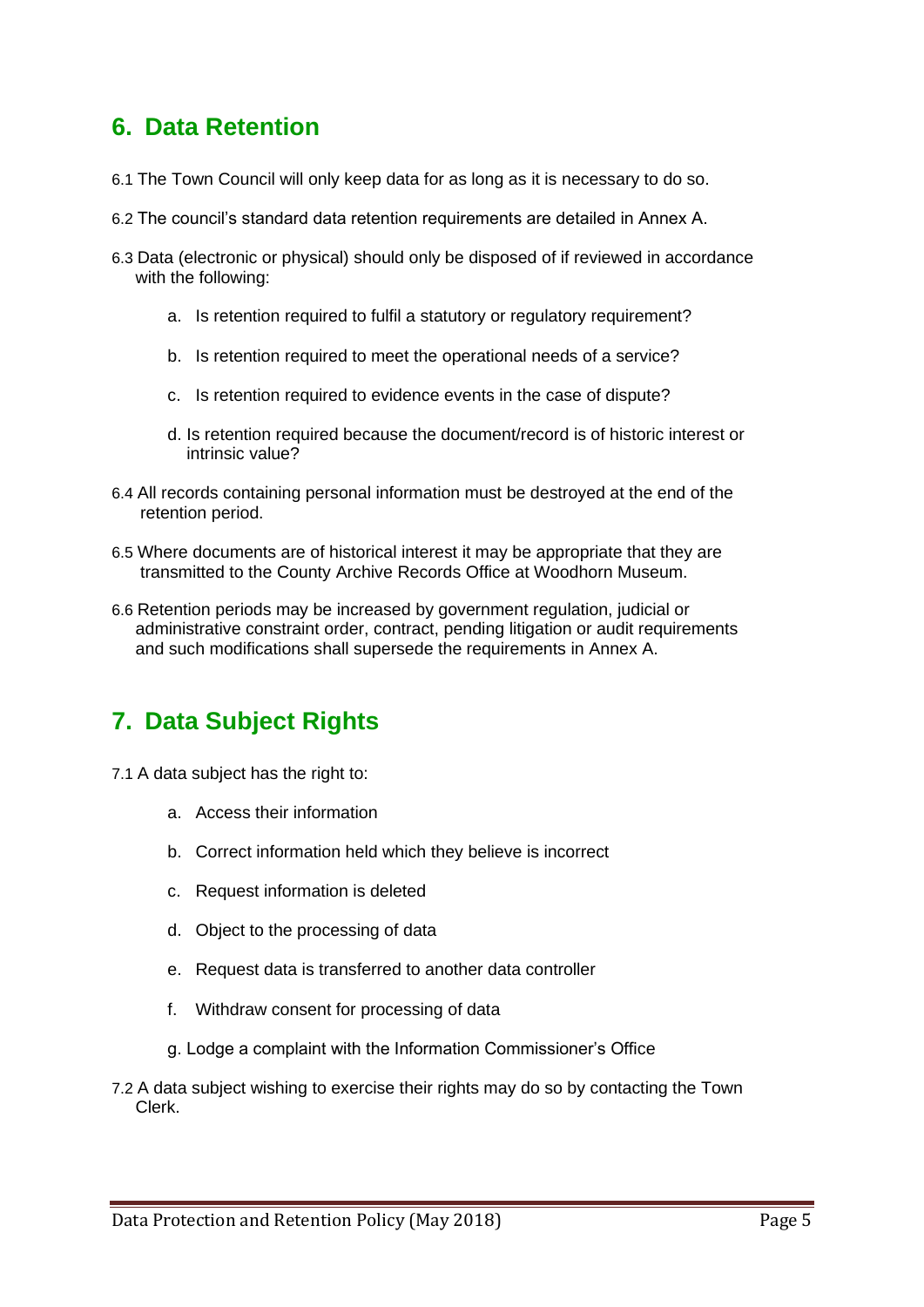#### **6. Data Retention**

- 6.1 The Town Council will only keep data for as long as it is necessary to do so.
- 6.2 The council's standard data retention requirements are detailed in Annex A.
- 6.3 Data (electronic or physical) should only be disposed of if reviewed in accordance with the following:
	- a. Is retention required to fulfil a statutory or regulatory requirement?
	- b. Is retention required to meet the operational needs of a service?
	- c. Is retention required to evidence events in the case of dispute?
	- d. Is retention required because the document/record is of historic interest or intrinsic value?
- 6.4 All records containing personal information must be destroyed at the end of the retention period.
- 6.5 Where documents are of historical interest it may be appropriate that they are transmitted to the County Archive Records Office at Woodhorn Museum.
- 6.6 Retention periods may be increased by government regulation, judicial or administrative constraint order, contract, pending litigation or audit requirements and such modifications shall supersede the requirements in Annex A.

## **7. Data Subject Rights**

- 7.1 A data subject has the right to:
	- a. Access their information
	- b. Correct information held which they believe is incorrect
	- c. Request information is deleted
	- d. Object to the processing of data
	- e. Request data is transferred to another data controller
	- f. Withdraw consent for processing of data
	- g. Lodge a complaint with the Information Commissioner's Office
- 7.2 A data subject wishing to exercise their rights may do so by contacting the Town Clerk.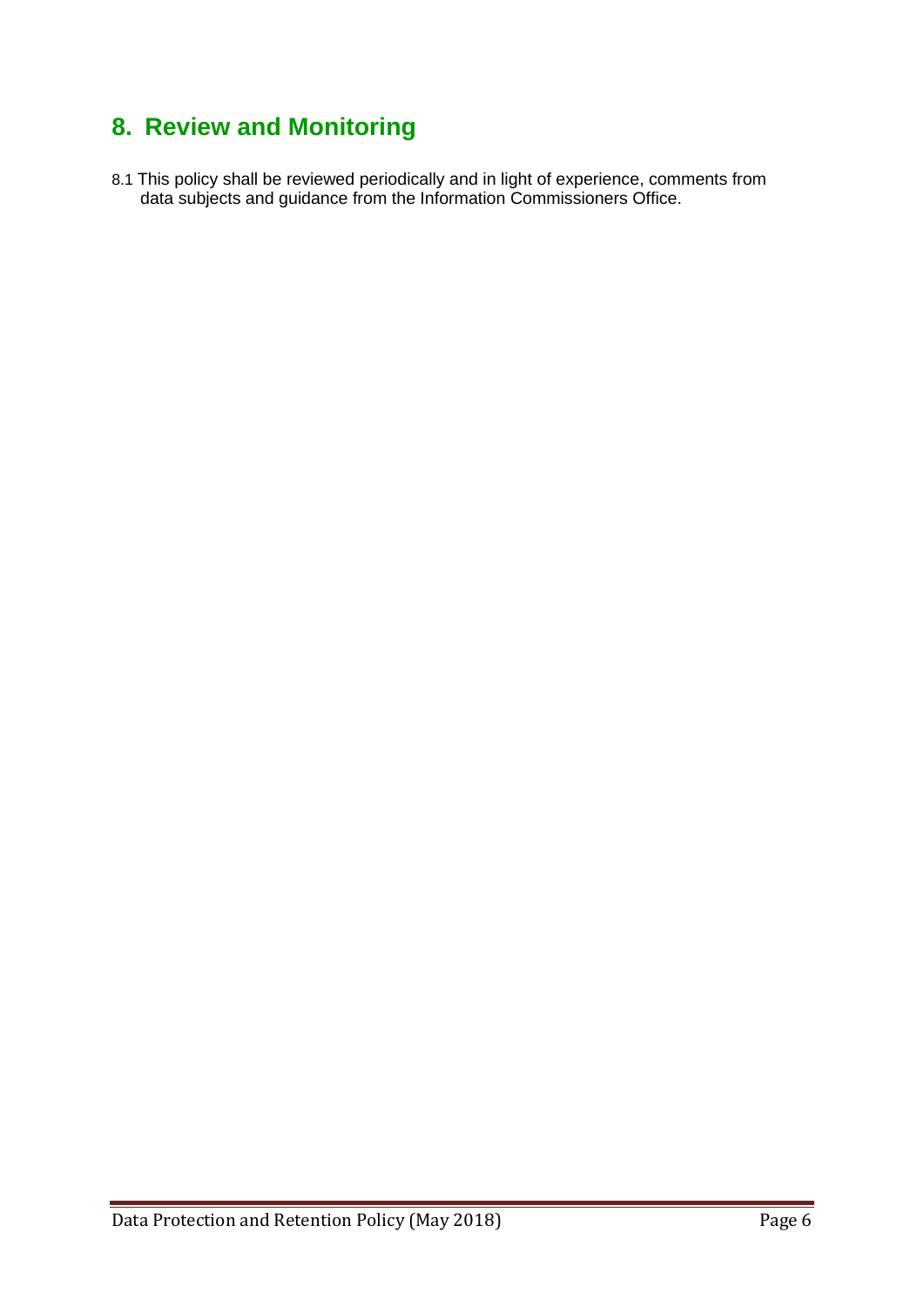## **8. Review and Monitoring**

8.1 This policy shall be reviewed periodically and in light of experience, comments from data subjects and guidance from the Information Commissioners Office.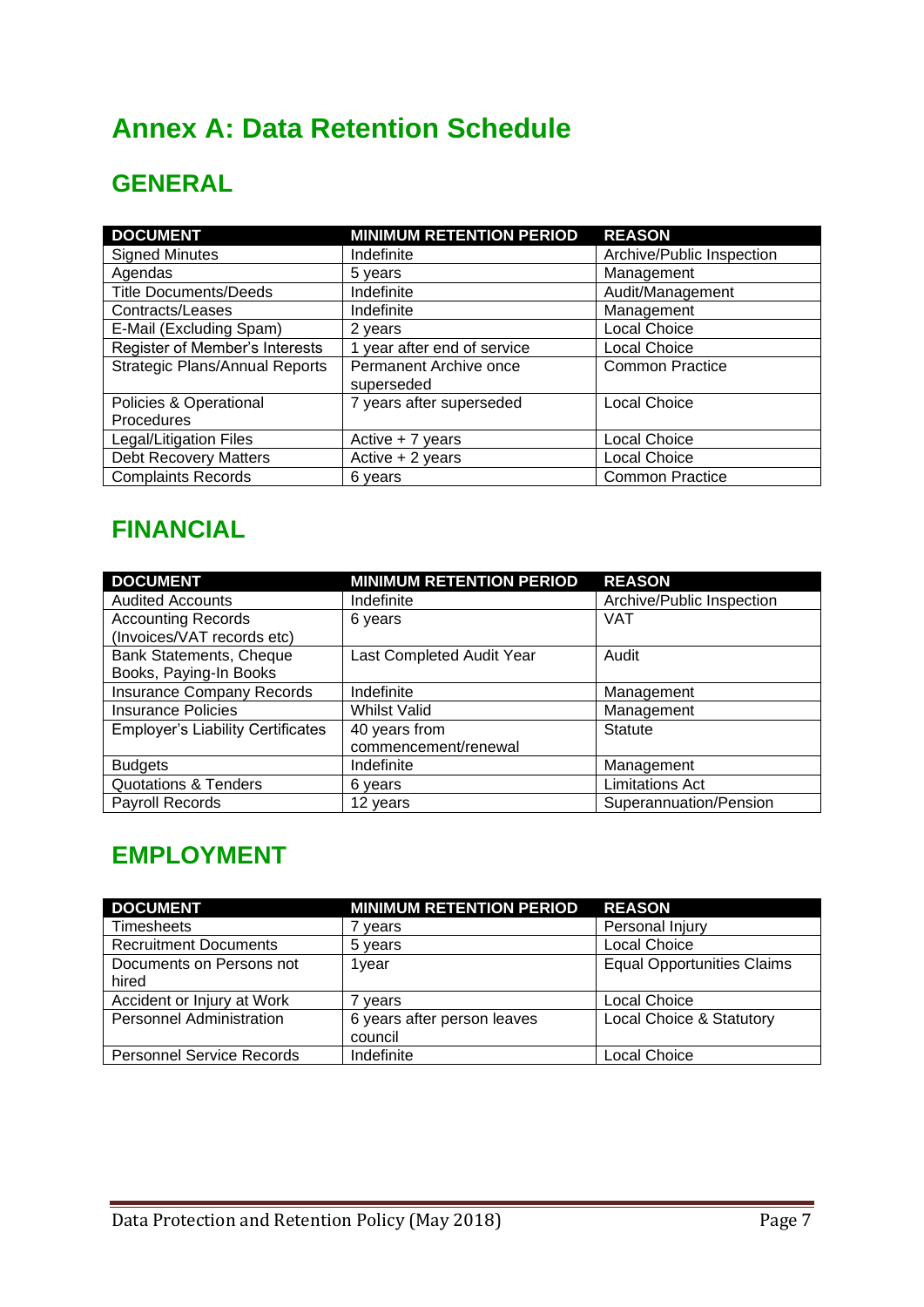## **Annex A: Data Retention Schedule**

## **GENERAL**

| <b>DOCUMENT</b>                       | <b>MINIMUM RETENTION PERIOD</b>      | <b>REASON</b>             |
|---------------------------------------|--------------------------------------|---------------------------|
| <b>Signed Minutes</b>                 | Indefinite                           | Archive/Public Inspection |
| Agendas                               | 5 years                              | Management                |
| <b>Title Documents/Deeds</b>          | Indefinite                           | Audit/Management          |
| Contracts/Leases                      | Indefinite                           | Management                |
| E-Mail (Excluding Spam)               | 2 years                              | <b>Local Choice</b>       |
| Register of Member's Interests        | 1 year after end of service          | Local Choice              |
| <b>Strategic Plans/Annual Reports</b> | Permanent Archive once<br>superseded | <b>Common Practice</b>    |
| Policies & Operational                | 7 years after superseded             | <b>Local Choice</b>       |
| Procedures                            |                                      |                           |
| Legal/Litigation Files                | Active + 7 years                     | Local Choice              |
| <b>Debt Recovery Matters</b>          | Active $+2$ years                    | <b>Local Choice</b>       |
| <b>Complaints Records</b>             | 6 years                              | <b>Common Practice</b>    |

## **FINANCIAL**

| <b>DOCUMENT</b>                          | <b>MINIMUM RETENTION PERIOD</b> | <b>REASON</b>             |
|------------------------------------------|---------------------------------|---------------------------|
| <b>Audited Accounts</b>                  | Indefinite                      | Archive/Public Inspection |
| <b>Accounting Records</b>                | 6 years                         | <b>VAT</b>                |
| (Invoices/VAT records etc)               |                                 |                           |
| Bank Statements, Cheque                  | Last Completed Audit Year       | Audit                     |
| Books, Paying-In Books                   |                                 |                           |
| <b>Insurance Company Records</b>         | Indefinite                      | Management                |
| <b>Insurance Policies</b>                | <b>Whilst Valid</b>             | Management                |
| <b>Employer's Liability Certificates</b> | 40 years from                   | <b>Statute</b>            |
|                                          | commencement/renewal            |                           |
| <b>Budgets</b>                           | Indefinite                      | Management                |
| <b>Quotations &amp; Tenders</b>          | 6 years                         | <b>Limitations Act</b>    |
| <b>Payroll Records</b>                   | 12 years                        | Superannuation/Pension    |

## **EMPLOYMENT**

| <b>DOCUMENT</b>                  | <b>MINIMUM RETENTION PERIOD</b> | <b>REASON</b>                     |
|----------------------------------|---------------------------------|-----------------------------------|
| <b>Timesheets</b>                | vears                           | Personal Injury                   |
| <b>Recruitment Documents</b>     | 5 years                         | Local Choice                      |
| Documents on Persons not         | 1year                           | <b>Equal Opportunities Claims</b> |
| hired                            |                                 |                                   |
| Accident or Injury at Work       | vears                           | <b>Local Choice</b>               |
| <b>Personnel Administration</b>  | 6 years after person leaves     | Local Choice & Statutory          |
|                                  | council                         |                                   |
| <b>Personnel Service Records</b> | Indefinite                      | <b>Local Choice</b>               |